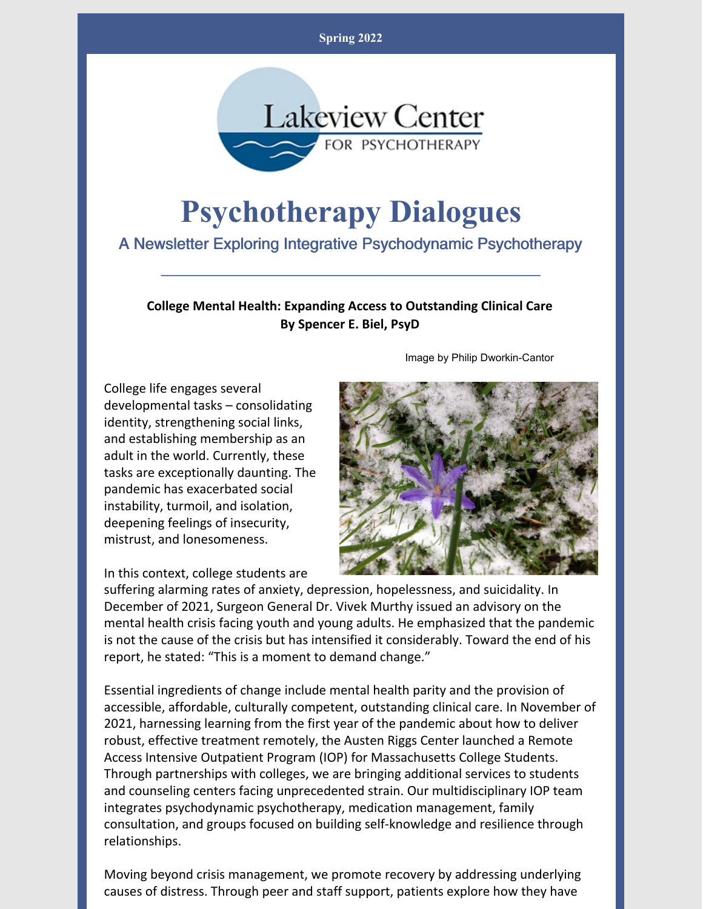**Spring 2022**



# **Psychotherapy Dialogues**

A Newsletter Exploring Integrative Psychodynamic Psychotherapy

\_\_\_\_\_\_\_\_\_\_\_\_\_\_\_\_\_\_\_\_\_\_\_\_\_\_\_\_\_\_\_\_\_\_\_\_\_\_\_\_\_\_\_

**College Mental Health: Expanding Access to Outstanding Clinical Care By Spencer E. Biel, PsyD**

College life engages several developmental tasks – consolidating identity, strengthening social links, and establishing membership as an adult in the world. Currently, these tasks are exceptionally daunting. The pandemic has exacerbated social instability, turmoil, and isolation, deepening feelings of insecurity, mistrust, and lonesomeness.

Image by Philip Dworkin-Cantor



In this context, college students are

suffering alarming rates of anxiety, depression, hopelessness, and suicidality. In December of 2021, Surgeon General Dr. Vivek Murthy issued an advisory on the mental health crisis facing youth and young adults. He emphasized that the pandemic is not the cause of the crisis but has intensified it considerably. Toward the end of his report, he stated: "This is a moment to demand change."

Essential ingredients of change include mental health parity and the provision of accessible, affordable, culturally competent, outstanding clinical care. In November of 2021, harnessing learning from the first year of the pandemic about how to deliver robust, effective treatment remotely, the Austen Riggs Center launched a Remote Access Intensive Outpatient Program (IOP) for Massachusetts College Students. Through partnerships with colleges, we are bringing additional services to students and counseling centers facing unprecedented strain. Our multidisciplinary IOP team integrates psychodynamic psychotherapy, medication management, family consultation, and groups focused on building self-knowledge and resilience through relationships.

Moving beyond crisis management, we promote recovery by addressing underlying causes of distress. Through peer and staff support, patients explore how they have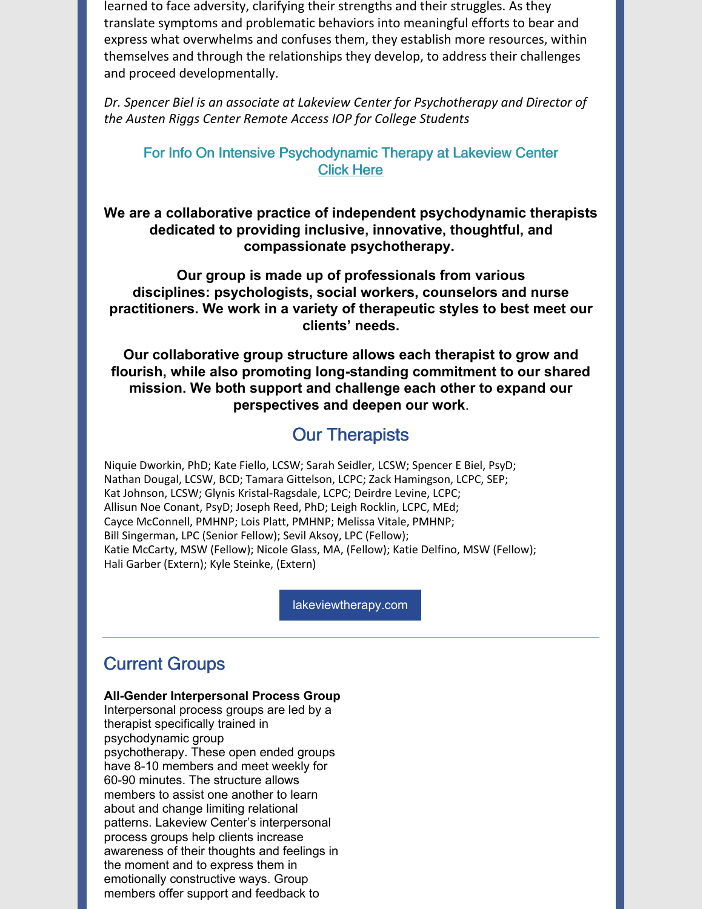learned to face adversity, clarifying their strengths and their struggles. As they translate symptoms and problematic behaviors into meaningful efforts to bear and express what overwhelms and confuses them, they establish more resources, within themselves and through the relationships they develop, to address their challenges and proceed developmentally.

*Dr. Spencer Biel is an associate at Lakeview Center for Psychotherapy and Director of the Austen Riggs Center Remote Access IOP for College Students*

### For Info On Intensive Psychodynamic Therapy at Lakeview Center [Click](https://www.lakeviewtherapy.com/psychodynamic-therapies/) Here

**We are a collaborative practice of independent psychodynamic therapists dedicated to providing inclusive, innovative, thoughtful, and compassionate psychotherapy.**

**Our group is made up of professionals from various disciplines: psychologists, social workers, counselors and nurse practitioners. We work in a variety of therapeutic styles to best meet our clients' needs.**

**Our collaborative group structure allows each therapist to grow and flourish, while also promoting long-standing commitment to our shared mission. We both support and challenge each other to expand our perspectives and deepen our work**.

### Our [Therapists](https://www.lakeviewtherapy.com/meet-our-therapists/)

Niquie Dworkin, PhD; Kate Fiello, LCSW; Sarah Seidler, LCSW; Spencer E Biel, PsyD; Nathan Dougal, LCSW, BCD; Tamara Gittelson, LCPC; Zack Hamingson, LCPC, SEP; Kat Johnson, LCSW; Glynis Kristal-Ragsdale, LCPC; Deirdre Levine, LCPC; Allisun Noe Conant, PsyD; Joseph Reed, PhD; Leigh Rocklin, LCPC, MEd; Cayce McConnell, PMHNP; Lois Platt, PMHNP; Melissa Vitale, PMHNP; Bill Singerman, LPC (Senior Fellow); Sevil Aksoy, LPC (Fellow); Katie McCarty, MSW (Fellow); Nicole Glass, MA, (Fellow); Katie Delfino, MSW (Fellow); Hali Garber (Extern); Kyle Steinke, (Extern)

[lakeviewtherapy.com](https://www.lakeviewtherapy.com/)

### Current Groups

#### **All-Gender Interpersonal Process Group**

Interpersonal process groups are led by a therapist specifically trained in psychodynamic group psychotherapy. These open ended groups have 8-10 members and meet weekly for 60-90 minutes. The structure allows members to assist one another to learn about and change limiting relational patterns. Lakeview Center's interpersonal process groups help clients increase awareness of their thoughts and feelings in the moment and to express them in emotionally constructive ways. Group members offer support and feedback to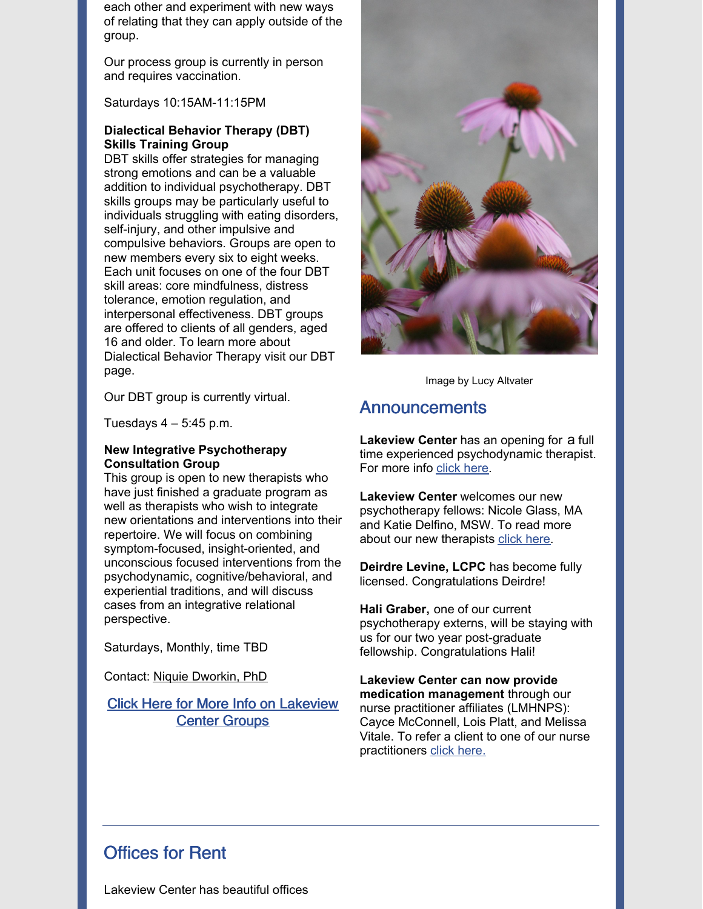each other and experiment with new ways of relating that they can apply outside of the group.

Our process group is currently in person and requires vaccination.

Saturdays 10:15AM-11:15PM

#### **Dialectical Behavior Therapy (DBT) Skills Training Group**

DBT skills offer strategies for managing strong emotions and can be a valuable addition to individual psychotherapy. DBT skills groups may be particularly useful to individuals struggling with eating disorders, self-injury, and other impulsive and compulsive behaviors. Groups are open to new members every six to eight weeks. Each unit focuses on one of the four DBT skill areas: core mindfulness, distress tolerance, emotion regulation, and interpersonal effectiveness. DBT groups are offered to clients of all genders, aged 16 and older. To learn more about [Dialectical](https://www.lakeviewtherapy.com/dbt/) Behavior Therapy visit our DBT page.



Image by Lucy Altvater

Our DBT group is currently virtual.

Tuesdays  $4 - 5:45$  p.m.

#### **New Integrative Psychotherapy Consultation Group**

This group is open to new therapists who have just finished a graduate program as well as therapists who wish to integrate new orientations and interventions into their repertoire. We will focus on combining symptom-focused, insight-oriented, and unconscious focused interventions from the psychodynamic, cognitive/behavioral, and experiential traditions, and will discuss cases from an integrative relational perspective.

Saturdays, Monthly, time TBD

Contact: Niquie [Dworkin,](mailto:info@lakeviewtherapy.com) PhD

Click Here for More Info on [Lakeview](https://www.lakeviewtherapy.com/group-therapy/) Center Groups

### **Announcements**

**Lakeview Center** has an opening for a full time experienced psychodynamic therapist. For more info [click](https://www.lakeviewtherapy.com/training-and-consultation/) here.

**Lakeview Center** welcomes our new psychotherapy fellows: Nicole Glass, MA and Katie Delfino, MSW. To read more about our new therapists click [here](https://www.lakeviewtherapy.com/meet-our-therapists/).

**Deirdre Levine, LCPC** has become fully licensed. Congratulations Deirdre!

**Hali Graber,** one of our current psychotherapy externs, will be staying with us for our two year post-graduate fellowship. Congratulations Hali!

**Lakeview Center can now provide medication management** through our nurse practitioner affiliates (LMHNPS): Cayce McConnell, Lois Platt, and Melissa Vitale. To refer a client to one of our nurse practitioners click [here.](https://www.lakeviewtherapy.com/meet-our-therapists/)

### Offices for Rent

Lakeview Center has beautiful offices